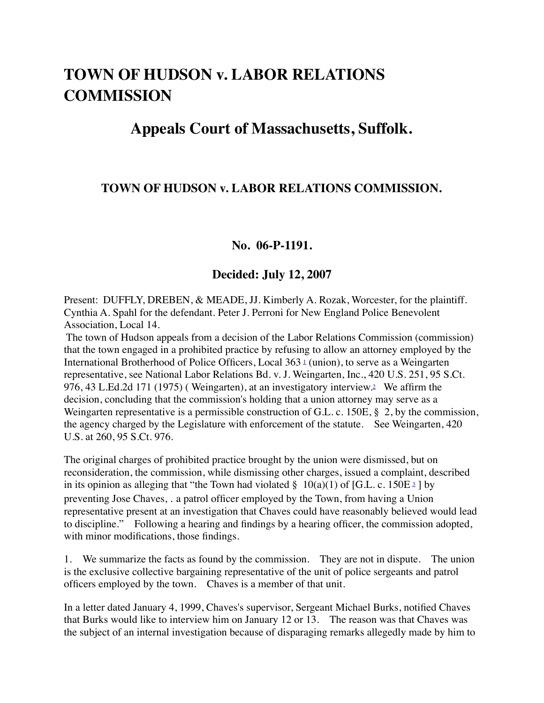# **TOWN OF HUDSON v. LABOR RELATIONS COMMISSION**

# **Appeals Court of Massachusetts, Suffolk.**

## **TOWN OF HUDSON v. LABOR RELATIONS COMMISSION.**

#### **No. 06-P-1191.**

#### **Decided: July 12, 2007**

Present: DUFFLY, DREBEN, & MEADE, JJ. Kimberly A. Rozak, Worcester, for the plaintiff. Cynthia A. Spahl for the defendant. Peter J. Perroni for New England Police Benevolent Association, Local 14.

The town of Hudson appeals from a decision of the Labor Relations Commission (commission) that the town engaged in a prohibited practice by refusing to allow an attorney employed by the International Brotherhood of Police Officers, Local 363<sup>1</sup> (union), to serve as a Weingarten representative, see National Labor Relations Bd. v. J. Weingarten, Inc., 420 U.S. 251, 95 S.Ct. 976, 43 L.Ed.2d 171 (1975) ( Weingarten), at an investigatory interview.[2](https://caselaw.findlaw.com/ma-court-of-appeals/1081299.html#footnote_2) We affirm the decision, concluding that the commission's holding that a union attorney may serve as a Weingarten representative is a permissible construction of G.L. c. 150E, § 2, by the commission, the agency charged by the Legislature with enforcement of the statute. See Weingarten, 420 U.S. at 260, 95 S.Ct. 976.

The original charges of prohibited practice brought by the union were dismissed, but on reconsideration, the commission, while dismissing other charges, issued a complaint, described in its opinion as alleging that "the Town had violated  $\S$  10(a)(1) of [G.L. c. 150E  $\frac{3}{2}$ ] by preventing Jose Chaves, ․ a patrol officer employed by the Town, from having a Union representative present at an investigation that Chaves could have reasonably believed would lead to discipline." Following a hearing and findings by a hearing officer, the commission adopted, with minor modifications, those findings.

1. We summarize the facts as found by the commission. They are not in dispute. The union is the exclusive collective bargaining representative of the unit of police sergeants and patrol officers employed by the town. Chaves is a member of that unit.

In a letter dated January 4, 1999, Chaves's supervisor, Sergeant Michael Burks, notified Chaves that Burks would like to interview him on January 12 or 13. The reason was that Chaves was the subject of an internal investigation because of disparaging remarks allegedly made by him to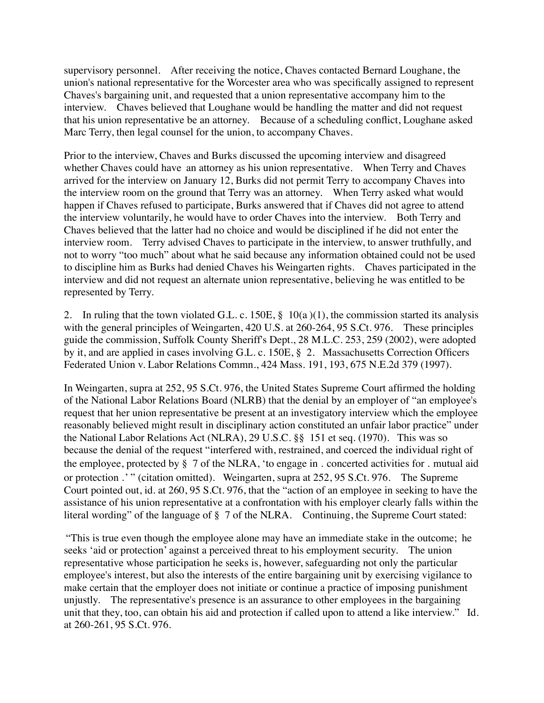supervisory personnel. After receiving the notice, Chaves contacted Bernard Loughane, the union's national representative for the Worcester area who was specifically assigned to represent Chaves's bargaining unit, and requested that a union representative accompany him to the interview. Chaves believed that Loughane would be handling the matter and did not request that his union representative be an attorney. Because of a scheduling conflict, Loughane asked Marc Terry, then legal counsel for the union, to accompany Chaves.

Prior to the interview, Chaves and Burks discussed the upcoming interview and disagreed whether Chaves could have an attorney as his union representative. When Terry and Chaves arrived for the interview on January 12, Burks did not permit Terry to accompany Chaves into the interview room on the ground that Terry was an attorney. When Terry asked what would happen if Chaves refused to participate, Burks answered that if Chaves did not agree to attend the interview voluntarily, he would have to order Chaves into the interview. Both Terry and Chaves believed that the latter had no choice and would be disciplined if he did not enter the interview room. Terry advised Chaves to participate in the interview, to answer truthfully, and not to worry "too much" about what he said because any information obtained could not be used to discipline him as Burks had denied Chaves his Weingarten rights. Chaves participated in the interview and did not request an alternate union representative, believing he was entitled to be represented by Terry.

2. In ruling that the town violated G.L. c. 150E, § 10(a )(1), the commission started its analysis with the general principles of Weingarten, 420 U.S. at 260-264, 95 S.Ct. 976. These principles guide the commission, Suffolk County Sheriff's Dept., 28 M.L.C. 253, 259 (2002), were adopted by it, and are applied in cases involving G.L. c. 150E, § 2. Massachusetts Correction Officers Federated Union v. Labor Relations Commn., 424 Mass. 191, 193, 675 N.E.2d 379 (1997).

In Weingarten, supra at 252, 95 S.Ct. 976, the United States Supreme Court affirmed the holding of the National Labor Relations Board (NLRB) that the denial by an employer of "an employee's request that her union representative be present at an investigatory interview which the employee reasonably believed might result in disciplinary action constituted an unfair labor practice" under the National Labor Relations Act (NLRA), 29 U.S.C. §§ 151 et seq. (1970). This was so because the denial of the request "interfered with, restrained, and coerced the individual right of the employee, protected by § 7 of the NLRA, 'to engage in ․ concerted activities for ․ mutual aid or protection .'" (citation omitted). Weingarten, supra at 252, 95 S.Ct. 976. The Supreme Court pointed out, id. at 260, 95 S.Ct. 976, that the "action of an employee in seeking to have the assistance of his union representative at a confrontation with his employer clearly falls within the literal wording" of the language of § 7 of the NLRA. Continuing, the Supreme Court stated:

"This is true even though the employee alone may have an immediate stake in the outcome; he seeks 'aid or protection' against a perceived threat to his employment security. The union representative whose participation he seeks is, however, safeguarding not only the particular employee's interest, but also the interests of the entire bargaining unit by exercising vigilance to make certain that the employer does not initiate or continue a practice of imposing punishment unjustly. The representative's presence is an assurance to other employees in the bargaining unit that they, too, can obtain his aid and protection if called upon to attend a like interview." Id. at 260-261, 95 S.Ct. 976.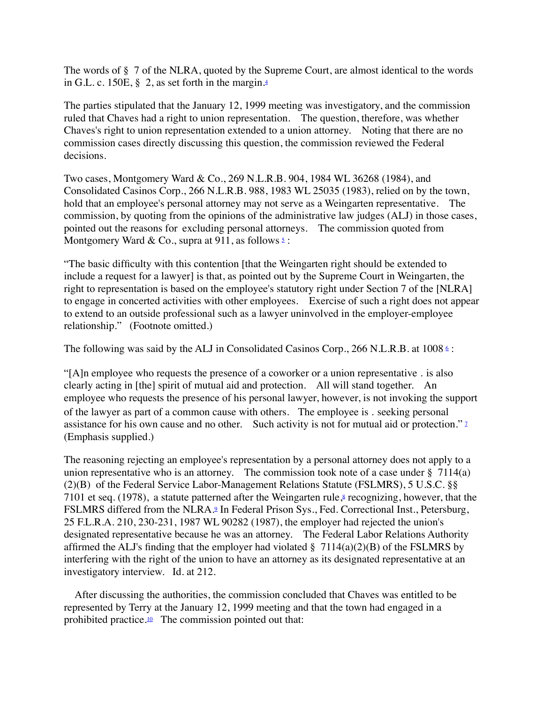The words of § 7 of the NLRA, quoted by the Supreme Court, are almost identical to the words in G.L. c. 150E, § 2, as set forth in the margin[.4](https://caselaw.findlaw.com/ma-court-of-appeals/1081299.html#footnote_4)

The parties stipulated that the January 12, 1999 meeting was investigatory, and the commission ruled that Chaves had a right to union representation. The question, therefore, was whether Chaves's right to union representation extended to a union attorney. Noting that there are no commission cases directly discussing this question, the commission reviewed the Federal decisions.

Two cases, Montgomery Ward & Co., 269 N.L.R.B. 904, 1984 WL 36268 (1984), and Consolidated Casinos Corp., 266 N.L.R.B. 988, 1983 WL 25035 (1983), relied on by the town, hold that an employee's personal attorney may not serve as a Weingarten representative. The commission, by quoting from the opinions of the administrative law judges (ALJ) in those cases, pointed out the reasons for excluding personal attorneys. The commission quoted from Montgomery Ward & Co., supra at 911, as follows  $\frac{5}{2}$  $\frac{5}{2}$  $\frac{5}{2}$ :

"The basic difficulty with this contention [that the Weingarten right should be extended to include a request for a lawyer] is that, as pointed out by the Supreme Court in Weingarten, the right to representation is based on the employee's statutory right under Section 7 of the [NLRA] to engage in concerted activities with other employees. Exercise of such a right does not appear to extend to an outside professional such as a lawyer uninvolved in the employer-employee relationship." (Footnote omitted.)

The following was said by the ALJ in Consolidated Casinos Corp., 2[6](https://caselaw.findlaw.com/ma-court-of-appeals/1081299.html#footnote_6)6 N.L.R.B. at 1008  $\epsilon$ :

"[A]n employee who requests the presence of a coworker or a union representative ․ is also clearly acting in [the] spirit of mutual aid and protection. All will stand together. An employee who requests the presence of his personal lawyer, however, is not invoking the support of the lawyer as part of a common cause with others․ The employee is ․ seeking personal assistance for his own cause and no other. Such activity is not for mutual aid or protection." 2 (Emphasis supplied.)

The reasoning rejecting an employee's representation by a personal attorney does not apply to a union representative who is an attorney. The commission took note of a case under  $\S$  7114(a) (2)(B) of the Federal Service Labor-Management Relations Statute (FSLMRS), 5 U.S.C. §§ 7101 et seq. (1978), a statute patterned after the Weingarten rule, $\frac{8}{3}$  recognizing, however, that the FSLMRS differed from the NLRA.<sup>9</sup> In Federal Prison Sys., Fed. Correctional Inst., Petersburg, 25 F.L.R.A. 210, 230-231, 1987 WL 90282 (1987), the employer had rejected the union's designated representative because he was an attorney. The Federal Labor Relations Authority affirmed the ALJ's finding that the employer had violated  $\S$  7114(a)(2)(B) of the FSLMRS by interfering with the right of the union to have an attorney as its designated representative at an investigatory interview. Id. at 212.

After discussing the authorities, the commission concluded that Chaves was entitled to be represented by Terry at the January 12, 1999 meeting and that the town had engaged in a prohibited practice.<sup>10</sup> The commission pointed out that: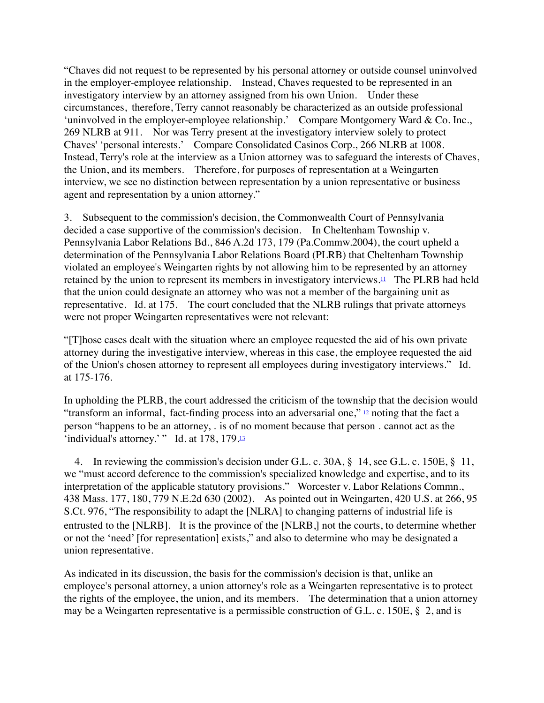"Chaves did not request to be represented by his personal attorney or outside counsel uninvolved in the employer-employee relationship. Instead, Chaves requested to be represented in an investigatory interview by an attorney assigned from his own Union. Under these circumstances, therefore, Terry cannot reasonably be characterized as an outside professional 'uninvolved in the employer-employee relationship.' Compare Montgomery Ward & Co. Inc., 269 NLRB at 911. Nor was Terry present at the investigatory interview solely to protect Chaves' 'personal interests.' Compare Consolidated Casinos Corp., 266 NLRB at 1008. Instead, Terry's role at the interview as a Union attorney was to safeguard the interests of Chaves, the Union, and its members. Therefore, for purposes of representation at a Weingarten interview, we see no distinction between representation by a union representative or business agent and representation by a union attorney."

3. Subsequent to the commission's decision, the Commonwealth Court of Pennsylvania decided a case supportive of the commission's decision. In Cheltenham Township v. Pennsylvania Labor Relations Bd., 846 A.2d 173, 179 (Pa.Commw.2004), the court upheld a determination of the Pennsylvania Labor Relations Board (PLRB) that Cheltenham Township violated an employee's Weingarten rights by not allowing him to be represented by an attorney retained by the union to represent its members in investigatory interviews[.11](https://caselaw.findlaw.com/ma-court-of-appeals/1081299.html#footnote_11) The PLRB had held that the union could designate an attorney who was not a member of the bargaining unit as representative. Id. at 175. The court concluded that the NLRB rulings that private attorneys were not proper Weingarten representatives were not relevant:

"[T]hose cases dealt with the situation where an employee requested the aid of his own private attorney during the investigative interview, whereas in this case, the employee requested the aid of the Union's chosen attorney to represent all employees during investigatory interviews." Id. at 175-176.

In upholding the PLRB, the court addressed the criticism of the township that the decision would "transform an informal, fact-finding process into an adversarial one," [12](https://caselaw.findlaw.com/ma-court-of-appeals/1081299.html#footnote_12) noting that the fact a person "happens to be an attorney, ․ is of no moment because that person ․ cannot act as the 'individual's attorney.' " Id. at 178, 179[.13](https://caselaw.findlaw.com/ma-court-of-appeals/1081299.html#footnote_13)

4. In reviewing the commission's decision under G.L. c. 30A, § 14, see G.L. c. 150E, § 11, we "must accord deference to the commission's specialized knowledge and expertise, and to its interpretation of the applicable statutory provisions." Worcester v. Labor Relations Commn., 438 Mass. 177, 180, 779 N.E.2d 630 (2002). As pointed out in Weingarten, 420 U.S. at 266, 95 S.Ct. 976, "The responsibility to adapt the [NLRA] to changing patterns of industrial life is entrusted to the [NLRB]. It is the province of the [NLRB,] not the courts, to determine whether or not the 'need' [for representation] exists," and also to determine who may be designated a union representative.

As indicated in its discussion, the basis for the commission's decision is that, unlike an employee's personal attorney, a union attorney's role as a Weingarten representative is to protect the rights of the employee, the union, and its members. The determination that a union attorney may be a Weingarten representative is a permissible construction of G.L. c. 150E, § 2, and is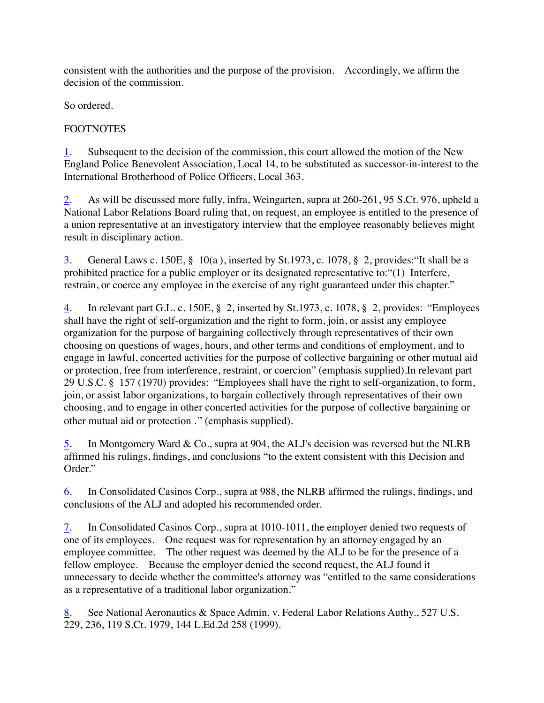consistent with the authorities and the purpose of the provision. Accordingly, we affirm the decision of the commission.

So ordered.

### FOOTNOTES

[1](https://caselaw.findlaw.com/ma-court-of-appeals/1081299.html#footnote_ref_1). Subsequent to the decision of the commission, this court allowed the motion of the New England Police Benevolent Association, Local 14, to be substituted as successor-in-interest to the International Brotherhood of Police Officers, Local 363.

[2](https://caselaw.findlaw.com/ma-court-of-appeals/1081299.html#footnote_ref_2). As will be discussed more fully, infra, Weingarten, supra at 260-261, 95 S.Ct. 976, upheld a National Labor Relations Board ruling that, on request, an employee is entitled to the presence of a union representative at an investigatory interview that the employee reasonably believes might result in disciplinary action.

[3](https://caselaw.findlaw.com/ma-court-of-appeals/1081299.html#footnote_ref_3). General Laws c. 150E, § 10(a ), inserted by St.1973, c. 1078, § 2, provides:"It shall be a prohibited practice for a public employer or its designated representative to:"(1) Interfere, restrain, or coerce any employee in the exercise of any right guaranteed under this chapter."

[4](https://caselaw.findlaw.com/ma-court-of-appeals/1081299.html#footnote_ref_4). In relevant part G.L. c. 150E, § 2, inserted by St.1973, c. 1078, § 2, provides: "Employees shall have the right of self-organization and the right to form, join, or assist any employee organization for the purpose of bargaining collectively through representatives of their own choosing on questions of wages, hours, and other terms and conditions of employment, and to engage in lawful, concerted activities for the purpose of collective bargaining or other mutual aid or protection, free from interference, restraint, or coercion" (emphasis supplied).In relevant part 29 U.S.C. § 157 (1970) provides: "Employees shall have the right to self-organization, to form, join, or assist labor organizations, to bargain collectively through representatives of their own choosing, and to engage in other concerted activities for the purpose of collective bargaining or other mutual aid or protection ․" (emphasis supplied).

[5](https://caselaw.findlaw.com/ma-court-of-appeals/1081299.html#footnote_ref_5). In Montgomery Ward & Co., supra at 904, the ALJ's decision was reversed but the NLRB affirmed his rulings, findings, and conclusions "to the extent consistent with this Decision and Order."

[6](https://caselaw.findlaw.com/ma-court-of-appeals/1081299.html#footnote_ref_6). In Consolidated Casinos Corp., supra at 988, the NLRB affirmed the rulings, findings, and conclusions of the ALJ and adopted his recommended order.

[7](https://caselaw.findlaw.com/ma-court-of-appeals/1081299.html#footnote_ref_7). In Consolidated Casinos Corp., supra at 1010-1011, the employer denied two requests of one of its employees. One request was for representation by an attorney engaged by an employee committee. The other request was deemed by the ALJ to be for the presence of a fellow employee. Because the employer denied the second request, the ALJ found it unnecessary to decide whether the committee's attorney was "entitled to the same considerations as a representative of a traditional labor organization."

[8](https://caselaw.findlaw.com/ma-court-of-appeals/1081299.html#footnote_ref_8). See National Aeronautics & Space Admin. v. Federal Labor Relations Authy., 527 U.S. 229, 236, 119 S.Ct. 1979, 144 L.Ed.2d 258 (1999).